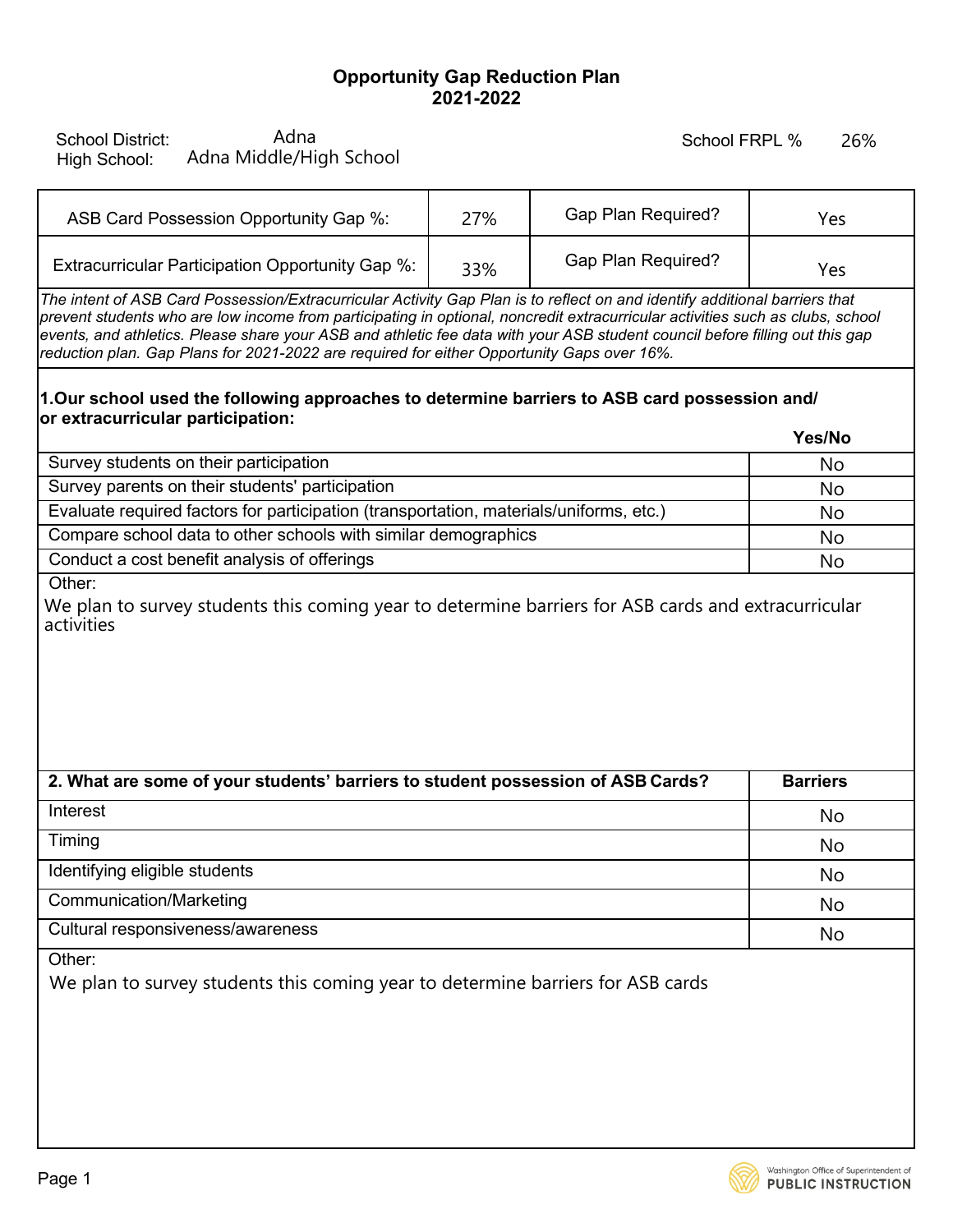## **Opportunity Gap Reduction Plan 2021-2022**

School District: High School:

## School FRPL %

| ASB Card Possession Opportunity Gap %:           | 27% | <b>Gap Plan Required?</b> | Yes |
|--------------------------------------------------|-----|---------------------------|-----|
| Extracurricular Participation Opportunity Gap %: | 33% | <b>Gap Plan Required?</b> | Yes |

## **1.Our school used the following approaches to determine barriers to ASB card possession and/ or extracurricular participation: Yes/No**

|                                                                                        | 1 es/NO |
|----------------------------------------------------------------------------------------|---------|
| Survey students on their participation                                                 | No      |
| Survey parents on their students' participation                                        | No      |
| Evaluate required factors for participation (transportation, materials/uniforms, etc.) | No      |
| Compare school data to other schools with similar demographics                         | No      |
| Conduct a cost benefit analysis of offerings                                           | No      |

| Adna<br><b>School District:</b><br>Adna Middle/High School<br>High School:                                                                                                                                                                                                                                                                                                                                                                                                                 |     | School FRPL %             | 26%             |
|--------------------------------------------------------------------------------------------------------------------------------------------------------------------------------------------------------------------------------------------------------------------------------------------------------------------------------------------------------------------------------------------------------------------------------------------------------------------------------------------|-----|---------------------------|-----------------|
| ASB Card Possession Opportunity Gap %:                                                                                                                                                                                                                                                                                                                                                                                                                                                     | 27% | <b>Gap Plan Required?</b> | Yes             |
| Extracurricular Participation Opportunity Gap %:                                                                                                                                                                                                                                                                                                                                                                                                                                           | 33% | <b>Gap Plan Required?</b> | Yes             |
| The intent of ASB Card Possession/Extracurricular Activity Gap Plan is to reflect on and identify additional barriers that<br>prevent students who are low income from participating in optional, noncredit extracurricular activities such as clubs, school<br>events, and athletics. Please share your ASB and athletic fee data with your ASB student council before filling out this gap<br>reduction plan. Gap Plans for 2021-2022 are required for either Opportunity Gaps over 16%. |     |                           |                 |
| 1.Our school used the following approaches to determine barriers to ASB card possession and/<br>or extracurricular participation:                                                                                                                                                                                                                                                                                                                                                          |     |                           | Yes/No          |
| Survey students on their participation                                                                                                                                                                                                                                                                                                                                                                                                                                                     |     |                           | No              |
| Survey parents on their students' participation                                                                                                                                                                                                                                                                                                                                                                                                                                            |     |                           | No              |
| Evaluate required factors for participation (transportation, materials/uniforms, etc.)                                                                                                                                                                                                                                                                                                                                                                                                     |     |                           | No              |
| Compare school data to other schools with similar demographics                                                                                                                                                                                                                                                                                                                                                                                                                             |     |                           | No              |
| Conduct a cost benefit analysis of offerings                                                                                                                                                                                                                                                                                                                                                                                                                                               |     |                           | No              |
| Other:<br>We plan to survey students this coming year to determine barriers for ASB cards and extracurricular<br>activities                                                                                                                                                                                                                                                                                                                                                                |     |                           |                 |
| 2. What are some of your students' barriers to student possession of ASB Cards?                                                                                                                                                                                                                                                                                                                                                                                                            |     |                           | <b>Barriers</b> |
| Interest                                                                                                                                                                                                                                                                                                                                                                                                                                                                                   |     |                           | No              |
| Timing                                                                                                                                                                                                                                                                                                                                                                                                                                                                                     |     |                           | No              |
| Identifying eligible students                                                                                                                                                                                                                                                                                                                                                                                                                                                              |     |                           | No              |
| <b>Communication/Marketing</b>                                                                                                                                                                                                                                                                                                                                                                                                                                                             |     |                           | No              |
| Cultural responsiveness/awareness                                                                                                                                                                                                                                                                                                                                                                                                                                                          |     |                           | No              |

Other:

We plan to survey students this coming year to determine barriers for ASB cards